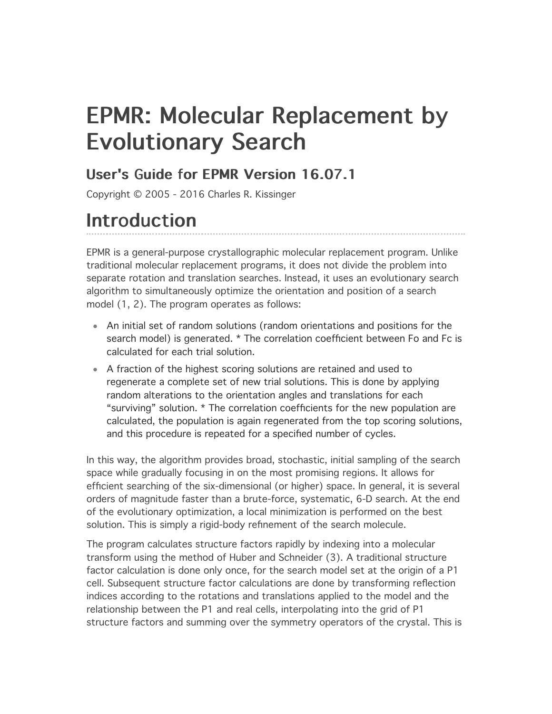# EPMR: Molecular Replacement by **Evolutionary Search**

### User's Guide for EPMR Version 16.07.1

Copyright © 2005 - 2016 Charles R. Kissinger

## **Introduction**

EPMR is a general-purpose crystallographic molecular replacement program. Unlike traditional molecular replacement programs, it does not divide the problem into separate rotation and translation searches. Instead, it uses an evolutionary search algorithm to simultaneously optimize the orientation and position of a search model (1, 2). The program operates as follows:

- An initial set of random solutions (random orientations and positions for the search model) is generated. \* The correlation coefficient between Fo and Fc is calculated for each trial solution.
- A fraction of the highest scoring solutions are retained and used to regenerate a complete set of new trial solutions. This is done by applying random alterations to the orientation angles and translations for each "surviving" solution. \* The correlation coefficients for the new population are calculated, the population is again regenerated from the top scoring solutions, and this procedure is repeated for a specified number of cycles.

In this way, the algorithm provides broad, stochastic, initial sampling of the search space while gradually focusing in on the most promising regions. It allows for efficient searching of the six-dimensional (or higher) space. In general, it is several orders of magnitude faster than a brute-force, systematic, 6-D search. At the end of the evolutionary optimization, a local minimization is performed on the best solution. This is simply a rigid-body refinement of the search molecule.

The program calculates structure factors rapidly by indexing into a molecular transform using the method of Huber and Schneider (3). A traditional structure factor calculation is done only once, for the search model set at the origin of a P1 cell. Subsequent structure factor calculations are done by transforming reflection indices according to the rotations and translations applied to the model and the relationship between the P1 and real cells, interpolating into the grid of P1 structure factors and summing over the symmetry operators of the crystal. This is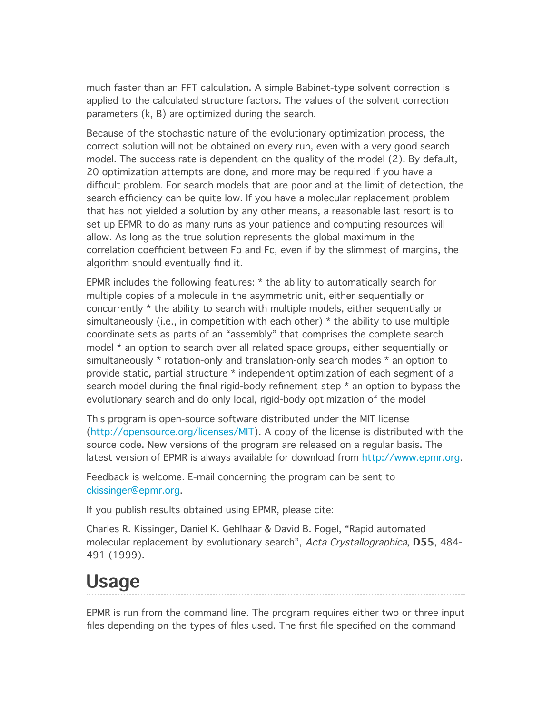much faster than an FFT calculation. A simple Babinet-type solvent correction is applied to the calculated structure factors. The values of the solvent correction parameters (k, B) are optimized during the search.

Because of the stochastic nature of the evolutionary optimization process, the correct solution will not be obtained on every run, even with a very good search model. The success rate is dependent on the quality of the model (2). By default, 20 optimization attempts are done, and more may be required if you have a difficult problem. For search models that are poor and at the limit of detection, the search efficiency can be quite low. If you have a molecular replacement problem that has not yielded a solution by any other means, a reasonable last resort is to set up EPMR to do as many runs as your patience and computing resources will allow. As long as the true solution represents the global maximum in the correlation coefficient between Fo and Fc, even if by the slimmest of margins, the algorithm should eventually find it.

EPMR includes the following features: \* the ability to automatically search for multiple copies of a molecule in the asymmetric unit, either sequentially or concurrently \* the ability to search with multiple models, either sequentially or simultaneously (i.e., in competition with each other) \* the ability to use multiple coordinate sets as parts of an "assembly" that comprises the complete search model \* an option to search over all related space groups, either sequentially or simultaneously \* rotation-only and translation-only search modes \* an option to provide static, partial structure \* independent optimization of each segment of a search model during the final rigid-body refinement step \* an option to bypass the evolutionary search and do only local, rigid-body optimization of the model

This program is open-source software distributed under the MIT license [\(http://opensource.org/licenses/MIT](http://opensource.org/licenses/MIT)). A copy of the license is distributed with the source code. New versions of the program are released on a regular basis. The latest version of EPMR is always available for download from [http://www.epmr.org.](http://www.epmr.org/)

Feedback is welcome. E-mail concerning the program can be sent to [ckissinger@epmr.org.](mailto:ckissinger@epmr.org)

If you publish results obtained using EPMR, please cite:

Charles R. Kissinger, Daniel K. Gehlhaar & David B. Fogel, "Rapid automated molecular replacement by evolutionary search", Acta Crystallographica, D55, 484-491 (1999).

## Usage

EPMR is run from the command line. The program requires either two or three input files depending on the types of files used. The first file specified on the command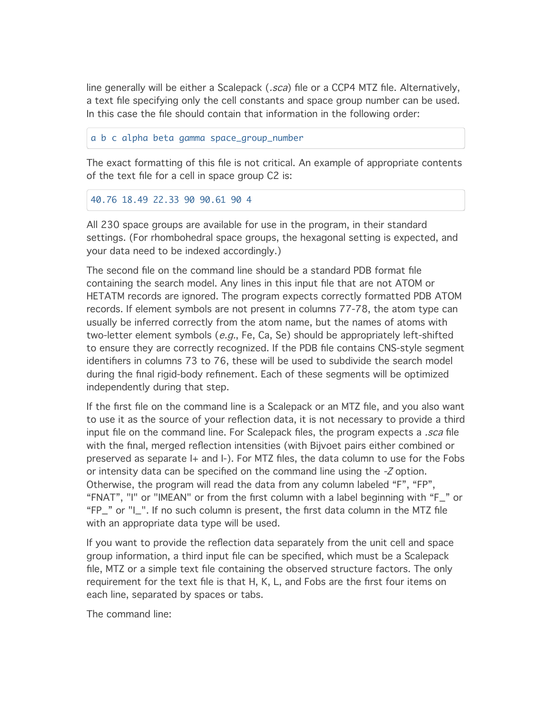line generally will be either a Scalepack (*.sca*) file or a CCP4 MTZ file. Alternatively, a text file specifying only the cell constants and space group number can be used. In this case the file should contain that information in the following order:

a b c alpha beta gamma space\_group\_number

The exact formatting of this file is not critical. An example of appropriate contents of the text file for a cell in space group C2 is:

40.76 18.49 22.33 90 90.61 90 4

All 230 space groups are available for use in the program, in their standard settings. (For rhombohedral space groups, the hexagonal setting is expected, and your data need to be indexed accordingly.)

The second file on the command line should be a standard PDB format file containing the search model. Any lines in this input file that are not ATOM or HETATM records are ignored. The program expects correctly formatted PDB ATOM records. If element symbols are not present in columns 77-78, the atom type can usually be inferred correctly from the atom name, but the names of atoms with two-letter element symbols  $(e.g., Fe, Ca, Se)$  should be appropriately left-shifted to ensure they are correctly recognized. If the PDB file contains CNS-style segment identifiers in columns 73 to 76, these will be used to subdivide the search model during the final rigid-body refinement. Each of these segments will be optimized independently during that step.

If the first file on the command line is a Scalepack or an MTZ file, and you also want to use it as the source of your reflection data, it is not necessary to provide a third input file on the command line. For Scalepack files, the program expects a *.sca* file with the final, merged reflection intensities (with Bijvoet pairs either combined or preserved as separate I+ and I-). For MTZ files, the data column to use for the Fobs or intensity data can be specified on the command line using the -Z option. Otherwise, the program will read the data from any column labeled "F", "FP", "FNAT", "I" or "IMEAN" or from the first column with a label beginning with "F\_" or "FP\_" or "I\_". If no such column is present, the first data column in the MTZ file with an appropriate data type will be used.

If you want to provide the reflection data separately from the unit cell and space group information, a third input file can be specified, which must be a Scalepack file, MTZ or a simple text file containing the observed structure factors. The only requirement for the text file is that H, K, L, and Fobs are the first four items on each line, separated by spaces or tabs.

The command line: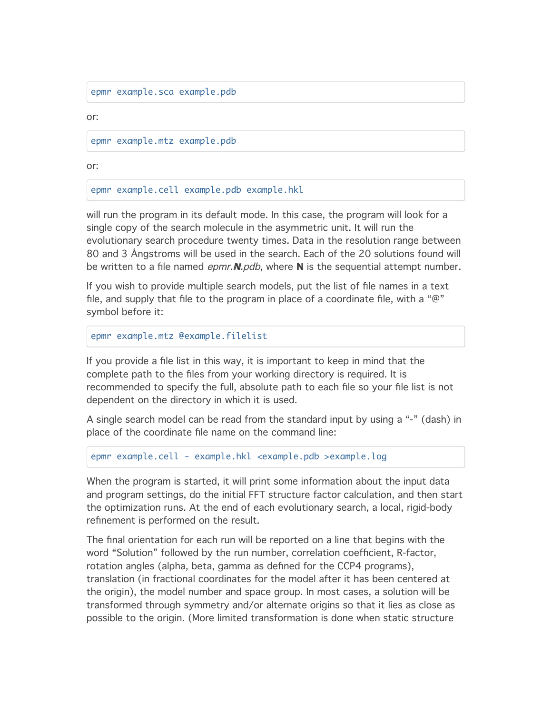epmr example.sca example.pdb

or:

epmr example.mtz example.pdb

or:

epmr example.cell example.pdb example.hkl

will run the program in its default mode. In this case, the program will look for a single copy of the search molecule in the asymmetric unit. It will run the evolutionary search procedure twenty times. Data in the resolution range between 80 and 3 Ångstroms will be used in the search. Each of the 20 solutions found will be written to a file named  $epmr$ . N.pdb, where N is the sequential attempt number.

If you wish to provide multiple search models, put the list of file names in a text file, and supply that file to the program in place of a coordinate file, with a " $@$ " symbol before it:

```
epmr example.mtz @example.filelist
```
If you provide a file list in this way, it is important to keep in mind that the complete path to the files from your working directory is required. It is recommended to specify the full, absolute path to each file so your file list is not dependent on the directory in which it is used.

A single search model can be read from the standard input by using a "-" (dash) in place of the coordinate file name on the command line:

epmr example.cell - example.hkl <example.pdb >example.log

When the program is started, it will print some information about the input data and program settings, do the initial FFT structure factor calculation, and then start the optimization runs. At the end of each evolutionary search, a local, rigid-body refinement is performed on the result.

The final orientation for each run will be reported on a line that begins with the word "Solution" followed by the run number, correlation coefficient, R-factor, rotation angles (alpha, beta, gamma as defined for the CCP4 programs), translation (in fractional coordinates for the model after it has been centered at the origin), the model number and space group. In most cases, a solution will be transformed through symmetry and/or alternate origins so that it lies as close as possible to the origin. (More limited transformation is done when static structure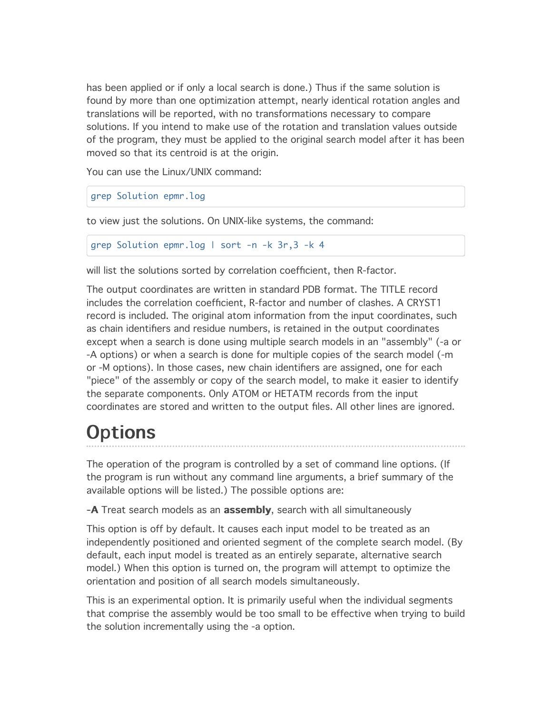has been applied or if only a local search is done.) Thus if the same solution is found by more than one optimization attempt, nearly identical rotation angles and translations will be reported, with no transformations necessary to compare solutions. If you intend to make use of the rotation and translation values outside of the program, they must be applied to the original search model after it has been moved so that its centroid is at the origin.

You can use the Linux/UNIX command:

```
grep Solution epmr.log
```
to view just the solutions. On UNIX-like systems, the command:

```
grep Solution epmr.log | sort -n -k 3r,3 -k 4
```
will list the solutions sorted by correlation coefficient, then R-factor.

The output coordinates are written in standard PDB format. The TITLE record includes the correlation coefficient, R-factor and number of clashes. A CRYST1 record is included. The original atom information from the input coordinates, such as chain identifiers and residue numbers, is retained in the output coordinates except when a search is done using multiple search models in an "assembly" (-a or -A options) or when a search is done for multiple copies of the search model (-m or -M options). In those cases, new chain identifiers are assigned, one for each "piece" of the assembly or copy of the search model, to make it easier to identify the separate components. Only ATOM or HETATM records from the input coordinates are stored and written to the output files. All other lines are ignored.

# **Options**

The operation of the program is controlled by a set of command line options. (If the program is run without any command line arguments, a brief summary of the available options will be listed.) The possible options are:

-**A** Treat search models as an **assembly**, search with all simultaneously

This option is off by default. It causes each input model to be treated as an independently positioned and oriented segment of the complete search model. (By default, each input model is treated as an entirely separate, alternative search model.) When this option is turned on, the program will attempt to optimize the orientation and position of all search models simultaneously.

This is an experimental option. It is primarily useful when the individual segments that comprise the assembly would be too small to be effective when trying to build the solution incrementally using the -a option.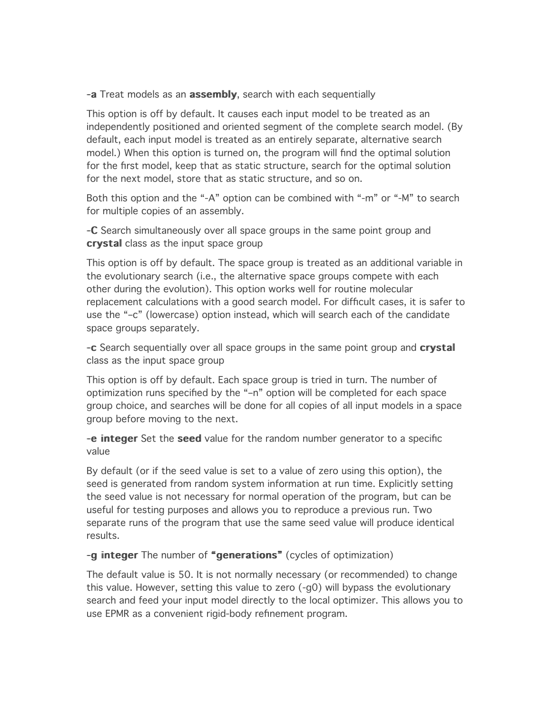-a Treat models as an assembly, search with each sequentially

This option is off by default. It causes each input model to be treated as an independently positioned and oriented segment of the complete search model. (By default, each input model is treated as an entirely separate, alternative search model.) When this option is turned on, the program will find the optimal solution for the first model, keep that as static structure, search for the optimal solution for the next model, store that as static structure, and so on.

Both this option and the "-A" option can be combined with "-m" or "-M" to search for multiple copies of an assembly.

-C Search simultaneously over all space groups in the same point group and crystal class as the input space group

This option is off by default. The space group is treated as an additional variable in the evolutionary search (i.e., the alternative space groups compete with each other during the evolution). This option works well for routine molecular replacement calculations with a good search model. For difficult cases, it is safer to use the "–c" (lowercase) option instead, which will search each of the candidate space groups separately.

-c Search sequentially over all space groups in the same point group and crystal class as the input space group

This option is off by default. Each space group is tried in turn. The number of optimization runs specified by the "–n" option will be completed for each space group choice, and searches will be done for all copies of all input models in a space group before moving to the next.

-e integer Set the seed value for the random number generator to a specific value

By default (or if the seed value is set to a value of zero using this option), the seed is generated from random system information at run time. Explicitly setting the seed value is not necessary for normal operation of the program, but can be useful for testing purposes and allows you to reproduce a previous run. Two separate runs of the program that use the same seed value will produce identical results.

-g integer The number of "generations" (cycles of optimization)

The default value is 50. It is not normally necessary (or recommended) to change this value. However, setting this value to zero (-g0) will bypass the evolutionary search and feed your input model directly to the local optimizer. This allows you to use EPMR as a convenient rigid-body refinement program.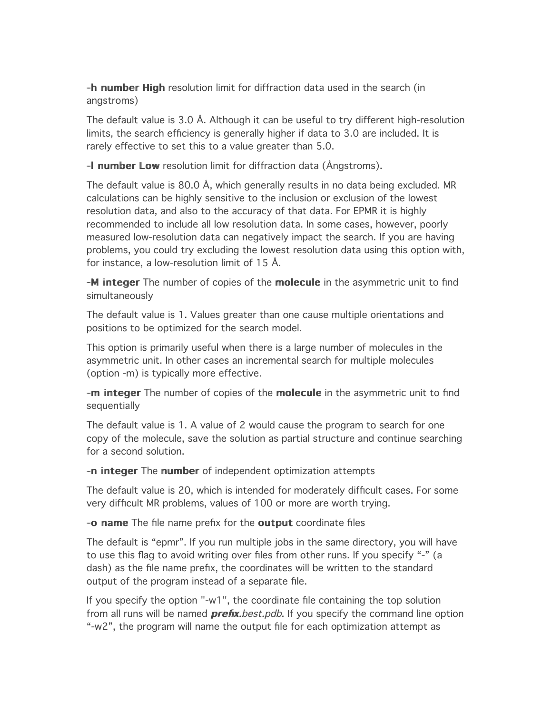-**h number High** resolution limit for diffraction data used in the search (in angstroms)

The default value is 3.0 Å. Although it can be useful to try different high-resolution limits, the search efficiency is generally higher if data to 3.0 are included. It is rarely effective to set this to a value greater than 5.0.

-**I number Low** resolution limit for diffraction data ( $\triangle$ ngstroms).

The default value is 80.0 Å, which generally results in no data being excluded. MR calculations can be highly sensitive to the inclusion or exclusion of the lowest resolution data, and also to the accuracy of that data. For EPMR it is highly recommended to include all low resolution data. In some cases, however, poorly measured low-resolution data can negatively impact the search. If you are having problems, you could try excluding the lowest resolution data using this option with, for instance, a low-resolution limit of 15 Å.

-M integer The number of copies of the molecule in the asymmetric unit to find simultaneously

The default value is 1. Values greater than one cause multiple orientations and positions to be optimized for the search model.

This option is primarily useful when there is a large number of molecules in the asymmetric unit. In other cases an incremental search for multiple molecules (option -m) is typically more effective.

-m integer The number of copies of the molecule in the asymmetric unit to find sequentially

The default value is 1. A value of 2 would cause the program to search for one copy of the molecule, save the solution as partial structure and continue searching for a second solution.

-n integer The number of independent optimization attempts

The default value is 20, which is intended for moderately difficult cases. For some very difficult MR problems, values of 100 or more are worth trying.

-o name The file name prefix for the output coordinate files

The default is "epmr". If you run multiple jobs in the same directory, you will have to use this flag to avoid writing over files from other runs. If you specify "-" (a dash) as the file name prefix, the coordinates will be written to the standard output of the program instead of a separate file.

If you specify the option "-w1", the coordinate file containing the top solution from all runs will be named *prefix.best.pdb*. If you specify the command line option "-w2", the program will name the output file for each optimization attempt as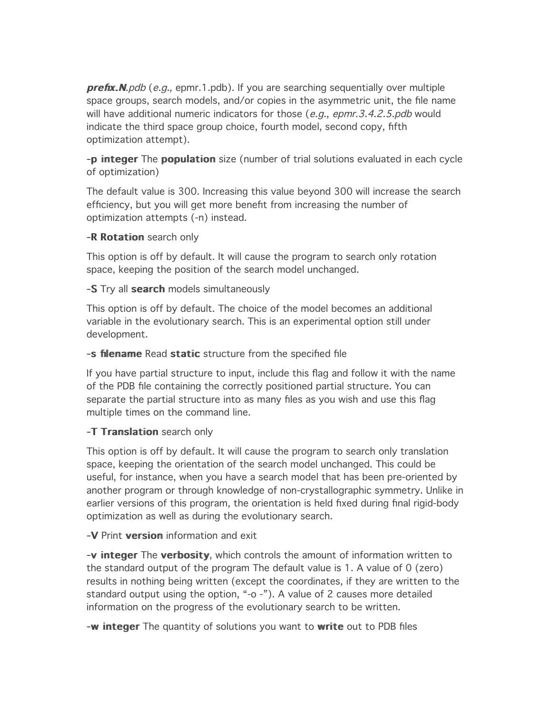$prefix.M.pdf$  (e.g., epmr.1.pdb). If you are searching sequentially over multiple space groups, search models, and/or copies in the asymmetric unit, the file name will have additional numeric indicators for those  $(e.g., epmr.3.4.2.5.pdf$  would indicate the third space group choice, fourth model, second copy, fifth optimization attempt).

-p integer The population size (number of trial solutions evaluated in each cycle of optimization)

The default value is 300. Increasing this value beyond 300 will increase the search efficiency, but you will get more benefit from increasing the number of optimization attempts (-n) instead.

#### -R Rotation search only

This option is off by default. It will cause the program to search only rotation space, keeping the position of the search model unchanged.

#### -S Try all search models simultaneously

This option is off by default. The choice of the model becomes an additional variable in the evolutionary search. This is an experimental option still under development.

#### -s filename Read static structure from the specified file

If you have partial structure to input, include this flag and follow it with the name of the PDB file containing the correctly positioned partial structure. You can separate the partial structure into as many files as you wish and use this flag multiple times on the command line.

#### -T Translation search only

This option is off by default. It will cause the program to search only translation space, keeping the orientation of the search model unchanged. This could be useful, for instance, when you have a search model that has been pre-oriented by another program or through knowledge of non-crystallographic symmetry. Unlike in earlier versions of this program, the orientation is held fixed during final rigid-body optimization as well as during the evolutionary search.

#### -V Print version information and exit

-v integer The verbosity, which controls the amount of information written to the standard output of the program The default value is 1. A value of 0 (zero) results in nothing being written (except the coordinates, if they are written to the standard output using the option, "-o -"). A value of 2 causes more detailed information on the progress of the evolutionary search to be written.

-w integer The quantity of solutions you want to write out to PDB files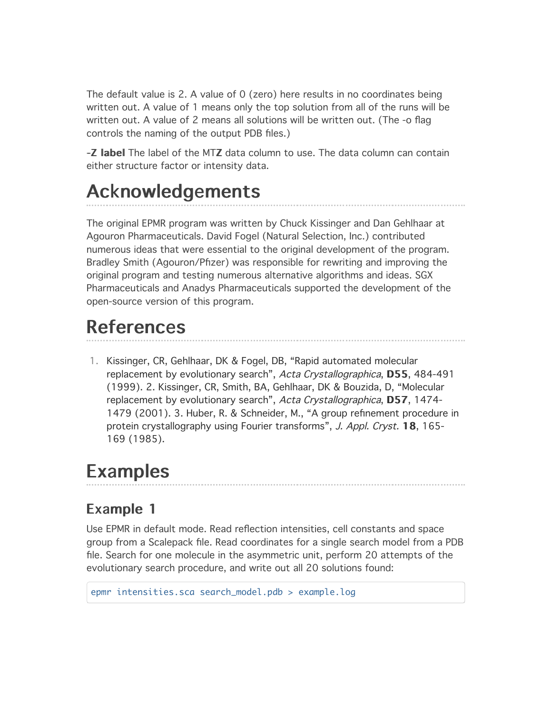The default value is 2. A value of 0 (zero) here results in no coordinates being written out. A value of 1 means only the top solution from all of the runs will be written out. A value of 2 means all solutions will be written out. (The -o flag controls the naming of the output PDB files.)

-Z label The label of the MTZ data column to use. The data column can contain either structure factor or intensity data.

# **Acknowledgements**

The original EPMR program was written by Chuck Kissinger and Dan Gehlhaar at Agouron Pharmaceuticals. David Fogel (Natural Selection, Inc.) contributed numerous ideas that were essential to the original development of the program. Bradley Smith (Agouron/Pfizer) was responsible for rewriting and improving the original program and testing numerous alternative algorithms and ideas. SGX Pharmaceuticals and Anadys Pharmaceuticals supported the development of the open-source version of this program.

# **References**

1. Kissinger, CR, Gehlhaar, DK & Fogel, DB, "Rapid automated molecular replacement by evolutionary search", Acta Crystallographica, D55, 484-491 (1999). 2. Kissinger, CR, Smith, BA, Gehlhaar, DK & Bouzida, D, "Molecular replacement by evolutionary search", Acta Crystallographica, D57, 1474-1479 (2001). 3. Huber, R. & Schneider, M., "A group refinement procedure in protein crystallography using Fourier transforms", J. Appl. Cryst. 18, 165-169 (1985).

## **Examples**

### Example 1

Use EPMR in default mode. Read reflection intensities, cell constants and space group from a Scalepack file. Read coordinates for a single search model from a PDB file. Search for one molecule in the asymmetric unit, perform 20 attempts of the evolutionary search procedure, and write out all 20 solutions found:

epmr intensities.sca search\_model.pdb > example.log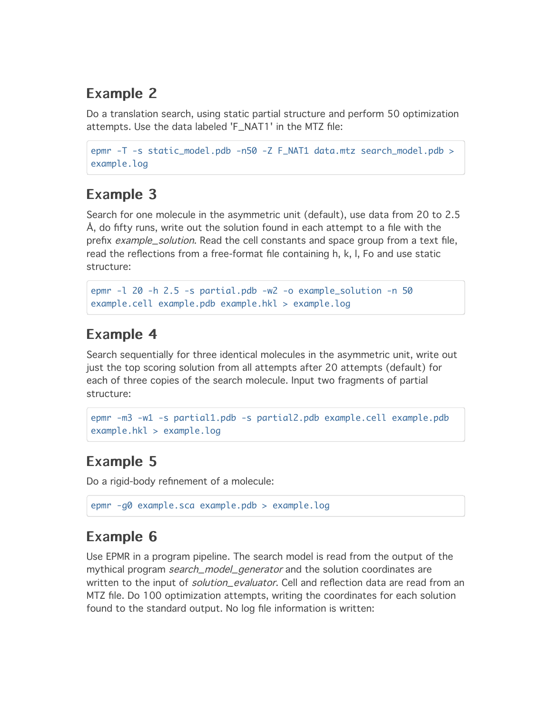### Example 2

Do a translation search, using static partial structure and perform 50 optimization attempts. Use the data labeled 'F\_NAT1' in the MTZ file:

```
epmr -T -s static_model.pdb -n50 -Z F_NAT1 data.mtz search_model.pdb >
example.log
```
### Example 3

Search for one molecule in the asymmetric unit (default), use data from 20 to 2.5 Å, do fifty runs, write out the solution found in each attempt to a file with the prefix *example\_solution*. Read the cell constants and space group from a text file, read the reflections from a free-format file containing h, k, l, Fo and use static structure:

```
epmr -l 20 -h 2.5 -s partial.pdb -w2 -o example_solution -n 50
example.cell example.pdb example.hkl > example.log
```
### **Example 4**

Search sequentially for three identical molecules in the asymmetric unit, write out just the top scoring solution from all attempts after 20 attempts (default) for each of three copies of the search molecule. Input two fragments of partial structure:

```
epmr -m3 -w1 -s partial1.pdb -s partial2.pdb example.cell example.pdb
example.hkl > example.log
```
### Example 5

Do a rigid-body refinement of a molecule:

```
epmr -g0 example.sca example.pdb > example.log
```
### Example 6

Use EPMR in a program pipeline. The search model is read from the output of the mythical program *search\_model\_generator* and the solution coordinates are written to the input of *solution\_evaluator*. Cell and reflection data are read from an MTZ file. Do 100 optimization attempts, writing the coordinates for each solution found to the standard output. No log file information is written: